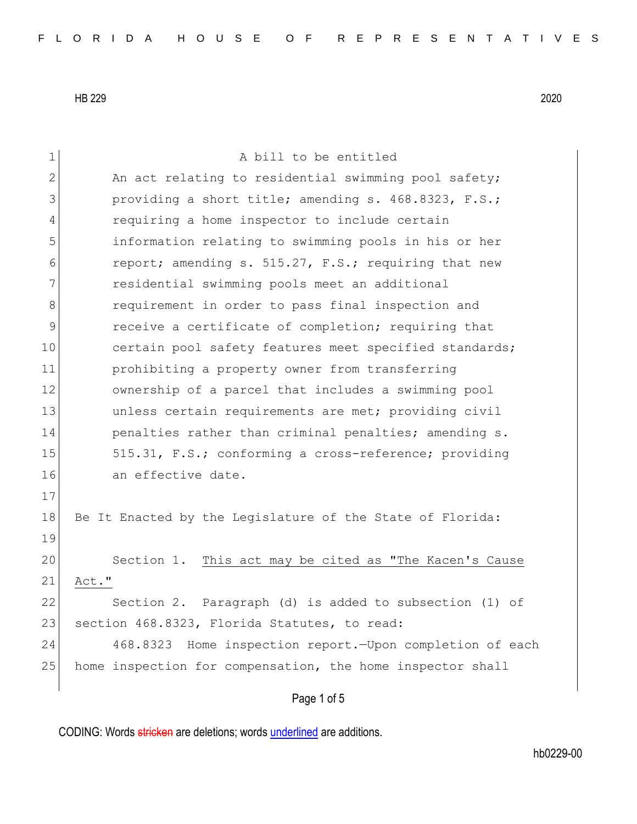1 a bill to be entitled 2 An act relating to residential swimming pool safety; 3 **providing a short title; amending s. 468.8323, F.S.;** 4 requiring a home inspector to include certain 5 information relating to swimming pools in his or her 6 report; amending s. 515.27, F.S.; requiring that new 7 residential swimming pools meet an additional 8 8 requirement in order to pass final inspection and 9 **Paramele Exercise** of completion; requiring that 10 certain pool safety features meet specified standards; 11 prohibiting a property owner from transferring 12 ownership of a parcel that includes a swimming pool 13 and the unless certain requirements are met; providing civil 14 **penalties rather than criminal penalties; amending s.** 15 515.31, F.S.; conforming a cross-reference; providing 16 an effective date. 17 18 Be It Enacted by the Legislature of the State of Florida: 19 20 Section 1. This act may be cited as "The Kacen's Cause 21 Act." 22 Section 2. Paragraph (d) is added to subsection (1) of 23 section 468.8323, Florida Statutes, to read: 24 468.8323 Home inspection report.—Upon completion of each 25 home inspection for compensation, the home inspector shall

Page 1 of 5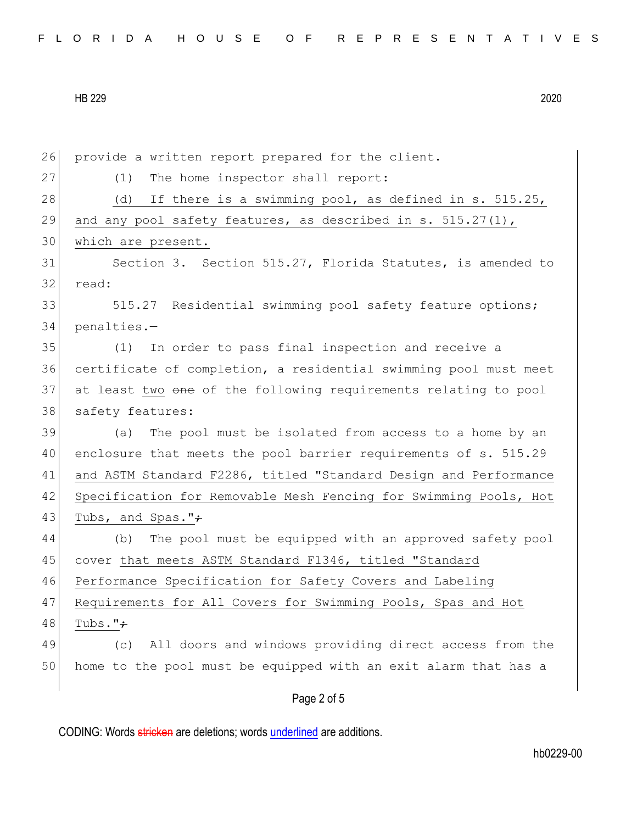26 provide a written report prepared for the client. 27 (1) The home inspector shall report: 28 (d) If there is a swimming pool, as defined in s. 515.25, 29 and any pool safety features, as described in s. 515.27(1), 30 which are present. 31 Section 3. Section 515.27, Florida Statutes, is amended to 32 read: 33 515.27 Residential swimming pool safety feature options; 34 penalties.— 35 (1) In order to pass final inspection and receive a 36 certificate of completion, a residential swimming pool must meet 37 at least two one of the following requirements relating to pool 38 safety features: 39 (a) The pool must be isolated from access to a home by an 40 enclosure that meets the pool barrier requirements of s. 515.29 41 and ASTM Standard F2286, titled "Standard Design and Performance 42 Specification for Removable Mesh Fencing for Swimming Pools, Hot 43 Tubs, and Spas." $\div$ 44 (b) The pool must be equipped with an approved safety pool 45 cover that meets ASTM Standard F1346, titled "Standard 46 Performance Specification for Safety Covers and Labeling 47 Requirements for All Covers for Swimming Pools, Spas and Hot 48 Tubs." $\div$ 49 (c) All doors and windows providing direct access from the 50 home to the pool must be equipped with an exit alarm that has a

Page 2 of 5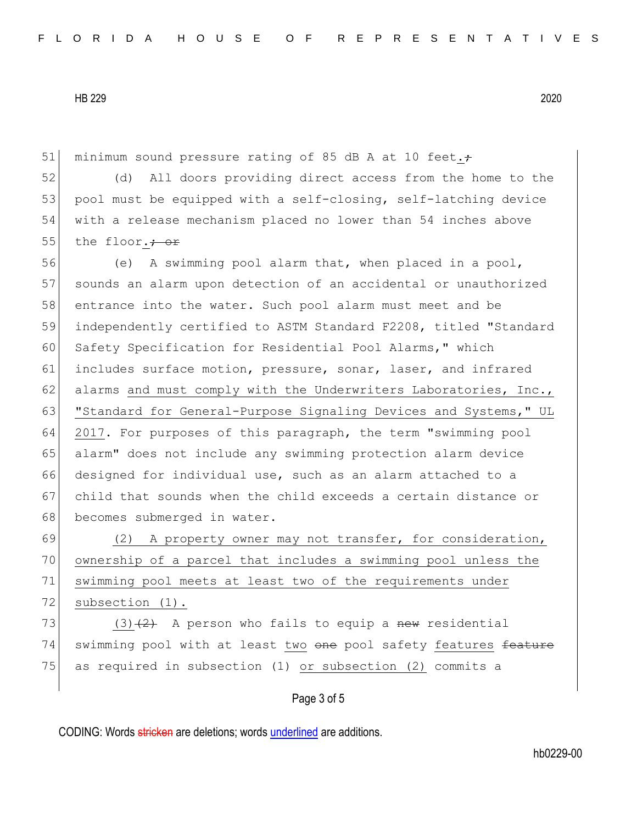51 minimum sound pressure rating of 85 dB A at 10 feet. $\div$ 

52 (d) All doors providing direct access from the home to the 53 pool must be equipped with a self-closing, self-latching device 54 with a release mechanism placed no lower than 54 inches above 55 the floor. $\div$  or

56 (e) A swimming pool alarm that, when placed in a pool, 57 sounds an alarm upon detection of an accidental or unauthorized 58 entrance into the water. Such pool alarm must meet and be 59 independently certified to ASTM Standard F2208, titled "Standard 60 Safety Specification for Residential Pool Alarms," which 61 includes surface motion, pressure, sonar, laser, and infrared 62 alarms and must comply with the Underwriters Laboratories, Inc., 63 | "Standard for General-Purpose Signaling Devices and Systems," UL 64 2017. For purposes of this paragraph, the term "swimming pool 65 alarm" does not include any swimming protection alarm device 66 designed for individual use, such as an alarm attached to a 67 child that sounds when the child exceeds a certain distance or 68 becomes submerged in water.

69 (2) A property owner may not transfer, for consideration, 70 ownership of a parcel that includes a swimming pool unless the 71 swimming pool meets at least two of the requirements under 72 subsection (1).

73 (3) $(2)$  A person who fails to equip a new residential 74 swimming pool with at least two one pool safety features feature 75 as required in subsection (1) or subsection (2) commits a

## Page 3 of 5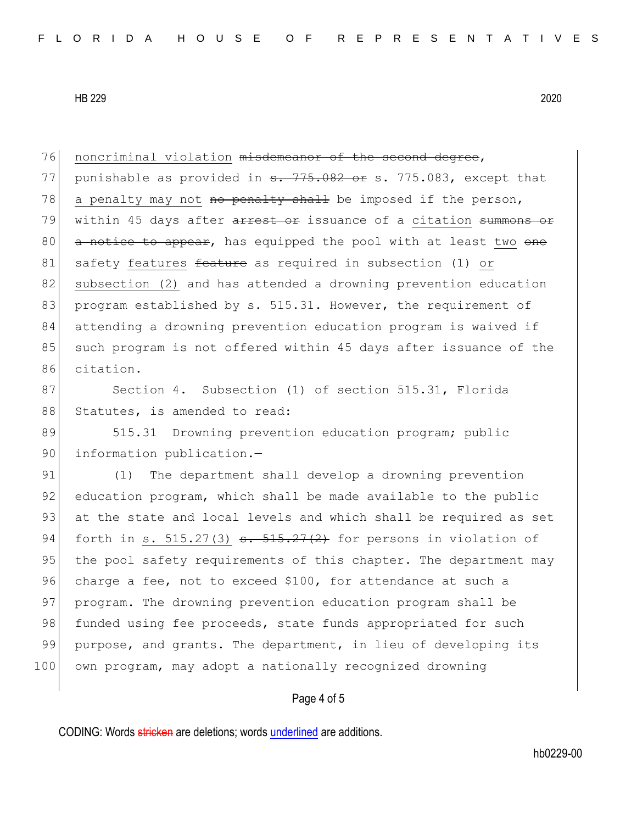| 76  | noncriminal violation misdemeanor of the second degree,                                         |
|-----|-------------------------------------------------------------------------------------------------|
| 77  | punishable as provided in <del>s. 775.082 or</del> s. 775.083, except that                      |
| 78  | a penalty may not no penalty shall be imposed if the person,                                    |
| 79  | within 45 days after arrest or issuance of a citation summons or                                |
| 80  | a notice to appear, has equipped the pool with at least two one                                 |
| 81  | safety features feature as required in subsection (1) or                                        |
| 82  | subsection (2) and has attended a drowning prevention education                                 |
| 83  | program established by s. 515.31. However, the requirement of                                   |
| 84  | attending a drowning prevention education program is waived if                                  |
| 85  | such program is not offered within 45 days after issuance of the                                |
| 86  | citation.                                                                                       |
| 87  | Section 4. Subsection (1) of section 515.31, Florida                                            |
| 88  | Statutes, is amended to read:                                                                   |
| 89  | 515.31 Drowning prevention education program; public                                            |
| 90  | information publication.-                                                                       |
| 91  | The department shall develop a drowning prevention<br>(1)                                       |
| 92  | education program, which shall be made available to the public                                  |
| 93  | at the state and local levels and which shall be required as set                                |
| 94  | forth in s. 515.27(3) $\frac{1}{2}$ , $\frac{1}{2}$ , $\frac{1}{2}$ for persons in violation of |
| 95  | the pool safety requirements of this chapter. The department may                                |
| 96  | charge a fee, not to exceed \$100, for attendance at such a                                     |
| 97  | program. The drowning prevention education program shall be                                     |
| 98  | funded using fee proceeds, state funds appropriated for such                                    |
| 99  | purpose, and grants. The department, in lieu of developing its                                  |
| 100 | own program, may adopt a nationally recognized drowning                                         |
|     | Page 4 of 5                                                                                     |